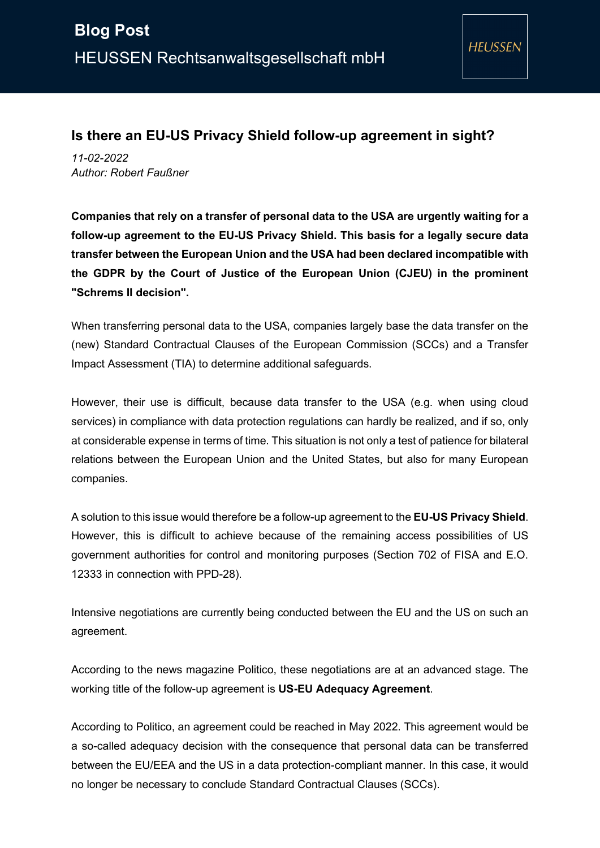## **Is there an EU-US Privacy Shield follow-up agreement in sight?**

*11-02-2022 Author: Robert Faußner*

**Companies that rely on a transfer of personal data to the USA are urgently waiting for a follow-up agreement to the EU-US Privacy Shield. This basis for a legally secure data transfer between the European Union and the USA had been declared incompatible with the GDPR by the Court of Justice of the European Union (CJEU) in the prominent "Schrems II decision".** 

When transferring personal data to the USA, companies largely base the data transfer on the (new) Standard Contractual Clauses of the European Commission (SCCs) and a Transfer Impact Assessment (TIA) to determine additional safeguards.

However, their use is difficult, because data transfer to the USA (e.g. when using cloud services) in compliance with data protection regulations can hardly be realized, and if so, only at considerable expense in terms of time. This situation is not only a test of patience for bilateral relations between the European Union and the United States, but also for many European companies.

A solution to this issue would therefore be a follow-up agreement to the **EU-US Privacy Shield**. However, this is difficult to achieve because of the remaining access possibilities of US government authorities for control and monitoring purposes (Section 702 of FISA and E.O. 12333 in connection with PPD-28).

Intensive negotiations are currently being conducted between the EU and the US on such an agreement.

According to the news magazine Politico, these negotiations are at an advanced stage. The working title of the follow-up agreement is **US-EU Adequacy Agreement**.

According to Politico, an agreement could be reached in May 2022. This agreement would be a so-called adequacy decision with the consequence that personal data can be transferred between the EU/EEA and the US in a data protection-compliant manner. In this case, it would no longer be necessary to conclude Standard Contractual Clauses (SCCs).